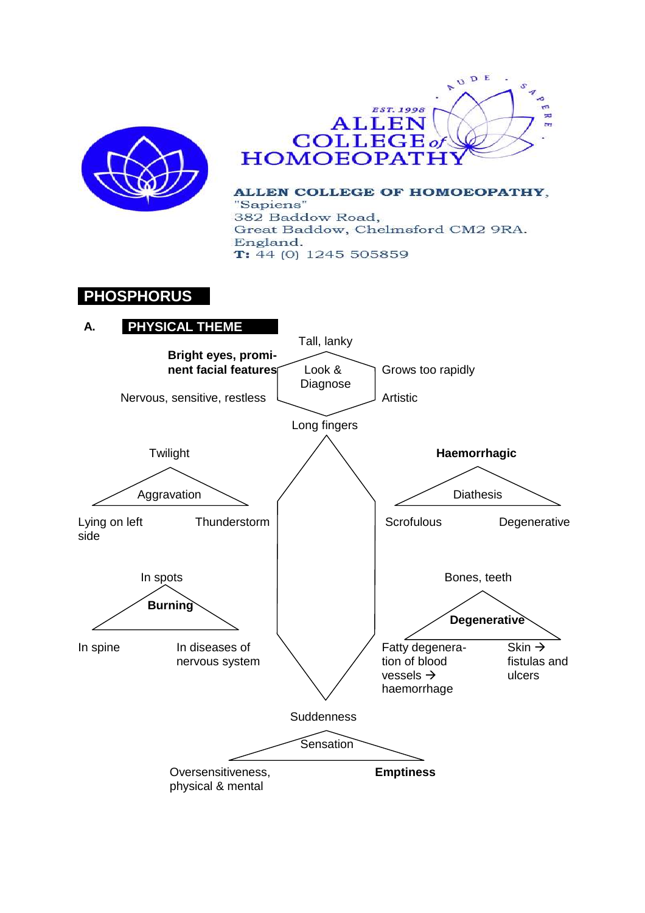



ALLEN COLLEGE OF HOMOEOPATHY, "Sapiens" 382 Baddow Road, Great Baddow, Chelmsford CM2 9RA. England.  $T: 44(0)$  1245 505859

# **PHOSPHORUS**

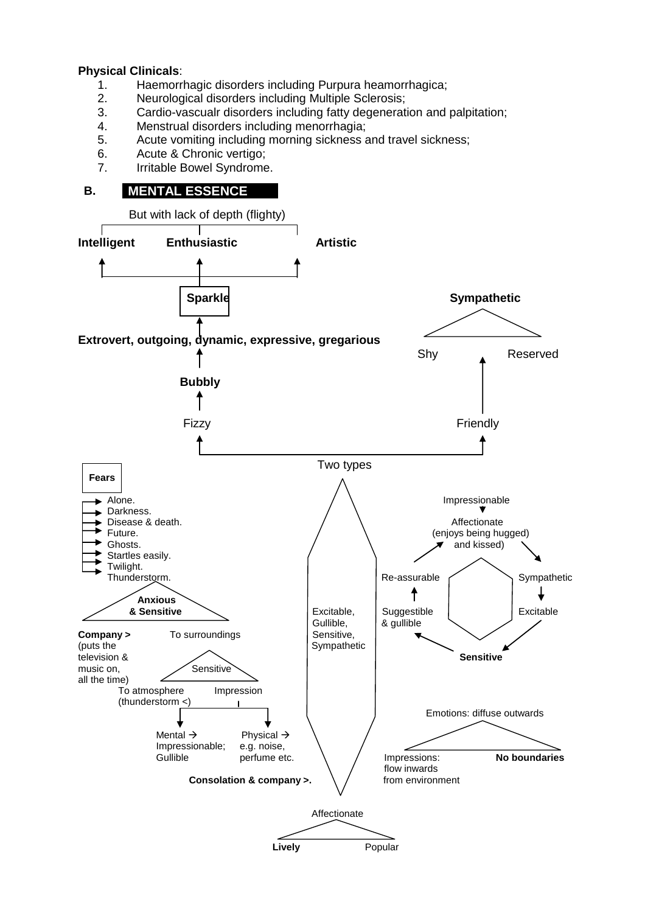#### **Physical Clinicals**:

- 1. Haemorrhagic disorders including Purpura heamorrhagica;
- 2. Neurological disorders including Multiple Sclerosis;
- 3. Cardio-vascualr disorders including fatty degeneration and palpitation;<br>4. Menstrual disorders including menorrhagia:
- 4. Menstrual disorders including menorrhagia;<br>5. Acute vomiting including morning sickness a
- Acute vomiting including morning sickness and travel sickness:
- 6. Acute & Chronic vertigo;
- 7. Irritable Bowel Syndrome.

# **B. MENTAL ESSENCE**

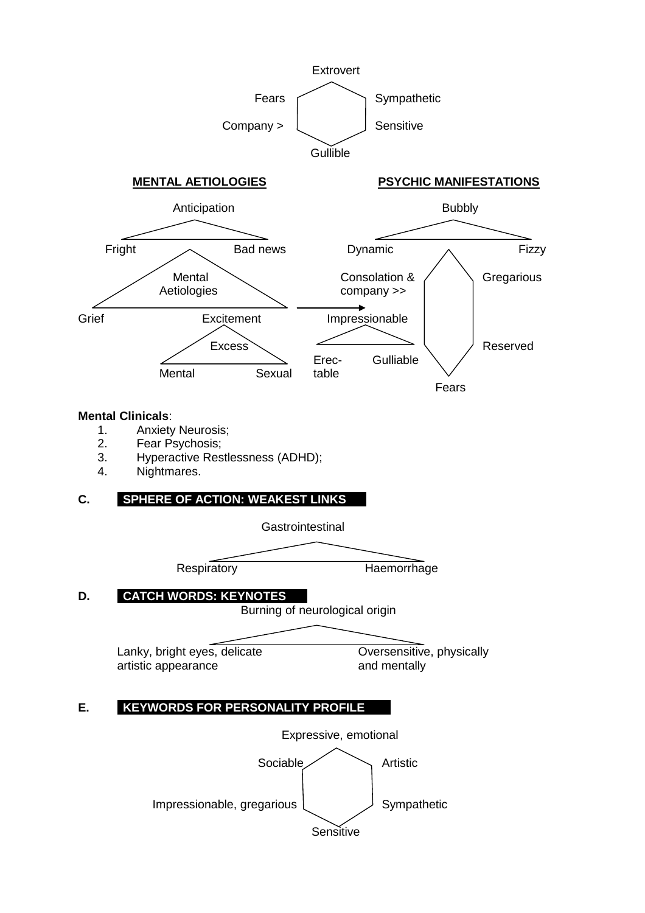